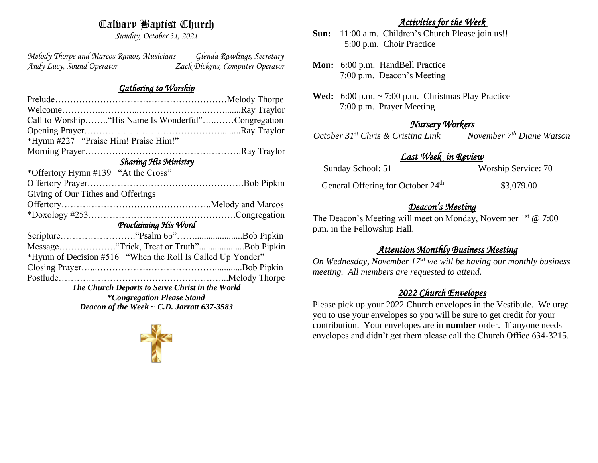# Calvary Baptist Church

*Sunday, October 31, 2021*

*Melody Thorpe and Marcos Ramos, Musicians Glenda Rawlings, Secretary Andy Lucy, Sound Operator Zack Dickens, Computer Operator* 

## *Gathering to Worship*

| Call to Worship "His Name Is Wonderful"Congregation        |
|------------------------------------------------------------|
|                                                            |
|                                                            |
|                                                            |
|                                                            |
|                                                            |
|                                                            |
|                                                            |
|                                                            |
|                                                            |
|                                                            |
|                                                            |
| Message"Trick, Treat or Truth"Bob Pipkin                   |
| *Hymn of Decision #516 "When the Roll Is Called Up Yonder" |
|                                                            |
|                                                            |
|                                                            |
|                                                            |
|                                                            |
|                                                            |

# *Activities for the Week*

- **Sun:** 11:00 a.m. Children's Church Please join us!! 5:00 p.m. Choir Practice
- **Mon:** 6:00 p.m. HandBell Practice 7:00 p.m. Deacon's Meeting
- **Wed:** 6:00 p.m. ~ 7:00 p.m. Christmas Play Practice 7:00 p.m. Prayer Meeting

## *Nursery Workers*

*October 31st Chris & Cristina Link November 7th Diane Watson* 

# *Last Week in Review*

Sunday School: 51 Worship Service: 70

General Offering for October 24<sup>th</sup> \$3,079.00

## *Deacon's Meeting*

The Deacon's Meeting will meet on Monday, November 1<sup>st</sup> @ 7:00 p.m. in the Fellowship Hall.

## *Attention Monthly Business Meeting*

*On Wednesday, November 17th we will be having our monthly business meeting. All members are requested to attend.* 

## *2022 Church Envelopes*

Please pick up your 2022 Church envelopes in the Vestibule. We urge you to use your envelopes so you will be sure to get credit for your contribution. Your envelopes are in **number** order.If anyone needs envelopes and didn't get them please call the Church Office 634-3215.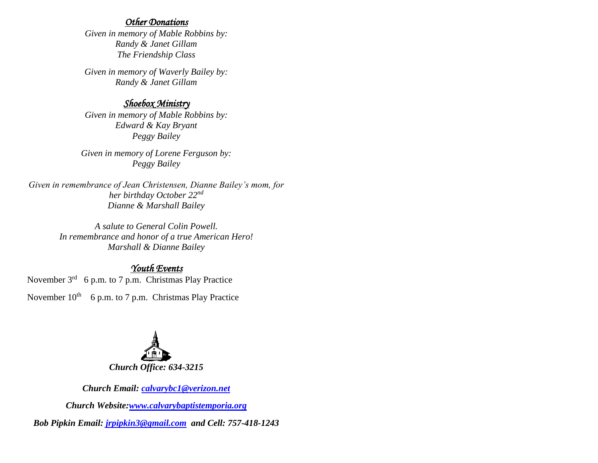#### *Other Donations*

*Given in memory of Mable Robbins by: Randy & Janet Gillam The Friendship Class*

*Given in memory of Waverly Bailey by: Randy & Janet Gillam*

## *Shoebox Ministry*

*Given in memory of Mable Robbins by: Edward & Kay Bryant Peggy Bailey*

*Given in memory of Lorene Ferguson by: Peggy Bailey*

*Given in remembrance of Jean Christensen, Dianne Bailey's mom, for her birthday October 22nd Dianne & Marshall Bailey*

> *A salute to General Colin Powell. In remembrance and honor of a true American Hero! Marshall & Dianne Bailey*

## *Youth Events*

November 3<sup>rd</sup> 6 p.m. to 7 p.m. Christmas Play Practice

November  $10^{th}$  6 p.m. to 7 p.m. Christmas Play Practice



*Church Email: [calvarybc1@verizon.net](mailto:cbcemporiaoffice@gmail.com)*

*Church Website[:www.calvarybaptistemporia.org](http://www.calvarybaptistemporia.org/)*

*Bob Pipkin Email: [jrpipkin3@gmail.com](mailto:jrpipkin3@gmail.com) and Cell: 757-418-1243*